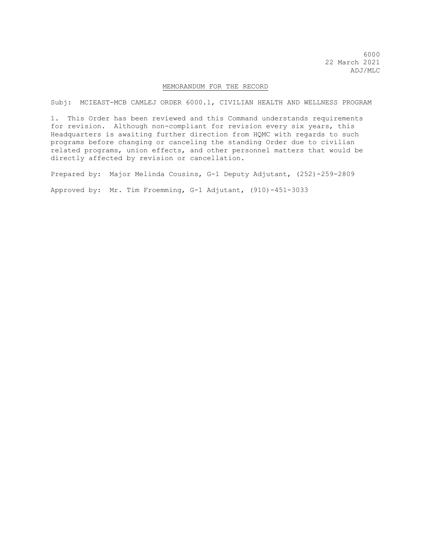6000 22 March 2021 ADJ/MLC

## MEMORANDUM FOR THE RECORD

Subj: MCIEAST-MCB CAMLEJ ORDER 6000.1, CIVILIAN HEALTH AND WELLNESS PROGRAM

1. This Order has been reviewed and this Command understands requirements for revision. Although non-compliant for revision every six years, this Headquarters is awaiting further direction from HQMC with regards to such programs before changing or canceling the standing Order due to civilian related programs, union effects, and other personnel matters that would be directly affected by revision or cancellation.

Prepared by: Major Melinda Cousins, G-1 Deputy Adjutant, (252)-259-2809

Approved by: Mr. Tim Froemming, G-1 Adjutant, (910)-451-3033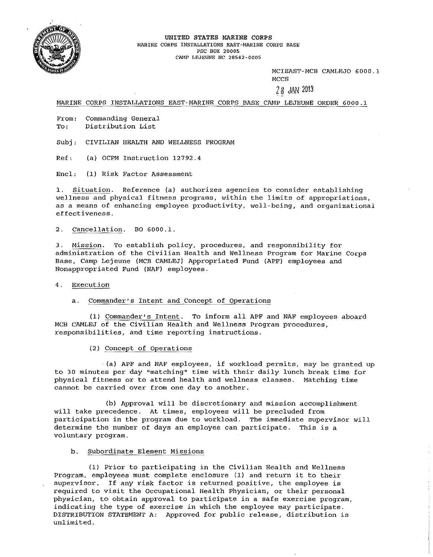

UNITED STATES MARINE CORPS **MARINE CORPS INSTALLATIONS EAST-MARINE CORPS BASE PSC BOX 20005**  cru~p **LEJEUNE NC 28542-0005** 

> MCIEAST-MCB CAMLEJO 6000.1 **MCCS**

 $28$  JAN  $2013$ 

MARINE CORPS INSTALLATIONS EAST-MARINE CORPS BASE CAMP LEJEUNE ORDER 6000.1

**From: Commanding General To: Distribution List** 

SUbj: CIVILIAN HEALTH AND WELLNESS PROGRAM

Ref: (a) OCPM Instruction 12792.4

Encl: (1) Risk Factor Assessment

**1. situation. Reference (a) authorizes agencies to consider establishing wellness and physical fitness programs, within the limits of appropriations, as a means of enhancing employee productivity, well-being, and organizational effectiveness.** 

2. Cancellation. BO 6000.1.

**3. Mission. To establish policy, procedures, and responsibility for administration of the Civilian Health and Wellness Program for Marine Corps**  Base, Camp Lejeune (MCB CAMLEJ) Appropriated Fund (APF) employees and Nonappropriated Fund (NAF) employees.

**4. Execution** 

**a. Commander's Intent and Concept of Operations** 

(1) Commander's Intent. To inform all APF and NAF employees aboard **MeB CAMLEJ of the Civilian Health and Wellness Program procedures, responsibilities, and time reporting instructions.** 

(2) Concept of Operations

(a) APF and NAF employees, if workload permits, may be granted up to 30 minutes per day "matching" time with their daily lunch break time for **physical fitness or to attend health and wellness classes. Matching time cannot be carried over from one day to another.** 

**(b) Approval will be discretionary and mission accomplishment**  will take precedence. At times, employees will be precluded from **participation in the program due to workload. The immediate supervisor will determine the number of days an employee can participate. This is a voluntary program.** 

## **b. Subordinate Element Missions**

(1) Prior to participating in the Civilian Health and Wellness **Program, employees must complete enclosure (1) and return it to their supervisor. If any risk factor is returned positive, the employee is required to visit the Occupational Health physician, or their personal physician, to obtain approval to participate in a safe exercise program, indicating the type of exercise in which the employee may participate.**  DISTRIBUTION STATEMENT A: Approved for public release, distribution is **unlimited.**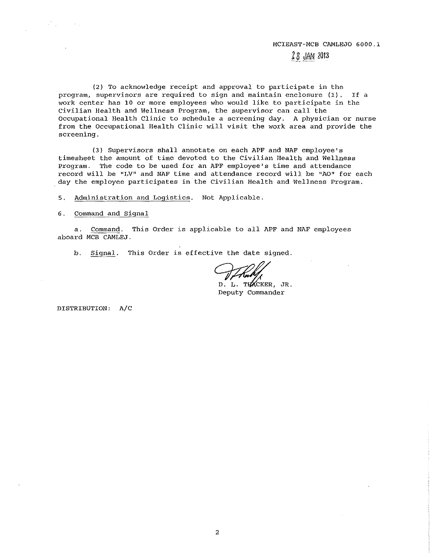#### MCIEAST-MCB CAMLEJO 6000.1

## $28$  JAN 2013

**(2) To acknowledge receipt and approval to participate in the program, supervisors are required to sign and maintain enclosure (I). If** a **work center has 10 or more employees who would like to participate in the civilian Health and Wellness Program, the supervisor can call the Occupational Health Clinic to schedule a screening day. A physician or nurse from the Occupational Health Clinic will visit the work area and provide the screening.** 

**(3) Supervisors shall annotate on each APF and NAF employee's timesheet the amount of time devoted to the Civilian Health and Wellness program. The code to be used for an APF employee's time and attendance record will be ULVII and NAF time and attendance record will be "AO" for each day the employee participates in the Civilian Health and Wellness Program.** 

**5. Administration and Logistics. Not Applicable.** 

## 6. Command and Signal

a. Command. This Order is applicable to all APF and NAF employees aboard MCB CAMLEJ.

b. Signal. This Order is effective the date signed.

D. L. THACKER, JR.<br>Deputy Commander

DISTRIBUTION: *A/C*